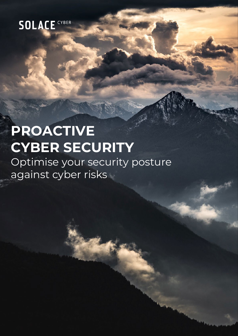# **PROACTIVE CYBER SECURITY**

Optimise your security posture against cyber risks

Provide Cyber Security Cyber Security Cyber Security Cyber Security Cyber Security Cyber Security Cyber Security Cyber Security Cyber Security Cyber Security Cyber Security Cyber Security Cyber Security Cyber Security Cybe

Page 0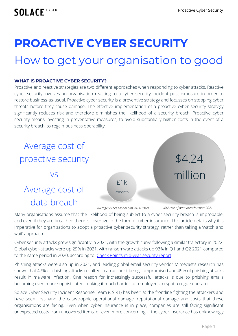## **PROACTIVE CYBER SECURITY**

## How to get your organisation to good

#### **WHAT IS PROACTIVE CYBER SECURITY?**

Proactive and reactive strategies are two different approaches when responding to cyber attacks. Reactive cyber security involves an organisation reacting to a cyber security incident post exposure in order to restore business-as-usual. Proactive cyber security is a preventive strategy and focusses on stopping cyber threats before they cause damage. The effective implementation of a proactive cyber security strategy significantly reduces risk and therefore diminishes the likelihood of a security breach. Proactive cyber security means investing in preventative measures, to avoid substantially higher costs in the event of a security breach, to regain business operability.



Many organisations assume that the likelihood of being subject to a cyber security breach is improbable, and even if they are breached there is coverage in the form of cyber insurance. This article details why it is imperative for organisations to adopt a proactive cyber security strategy, rather than taking a 'watch and wait' approach.

Cyber security attacks grew significantly in 2021, with the growth curve following a similar trajectory in 2022. Global cyber-attacks were up 29% in 2021, with ransomware attacks up 93% in Q1 and Q2 2021 compared to the same period in 2020, according to [Check Point's mid-year security report.](https://pages.checkpoint.com/cyber-attack-2021-trends.html)

Phishing attacks were also up in 2021, and leading global email security vendor Mimecast's research has shown that 47% of phishing attacks resulted in an account being compromised and 49% of phishing attacks result in malware infection. One reason for increasingly successful attacks is due to phishing emails becoming even more sophisticated, making it much harder for employees to spot a rogue operator.

Solace Cyber Security Incident Response Team (CSIRT) has been at the frontline fighting the attackers and have seen first-hand the catastrophic operational damage, reputational damage and costs that these organisations are facing. Even when cyber insurance is in place, companies are still facing significant unexpected costs from uncovered items, or even more concerning, if the cyber insurance has unknowingly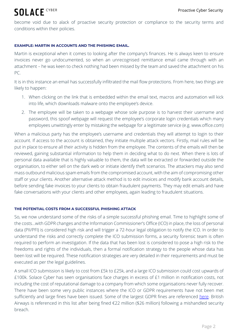become void due to alack of proactive security protection or compliance to the security terms and conditions within their policies.

#### **EXAMPLE: MARTIN IN ACCOUNTS AND THE PHISHING EMAIL.**

Martin is exceptional when it comes to looking after the company's finances. He is always keen to ensure invoices never go undocumented, so when an unrecognised remittance email came through with an attachment – he was keen to check nothing had been missed by the team and saved the attachment on his PC.

It is in this instance an email has successfully infiltrated the mail flow protections. From here, two things are likely to happen:

- 1. When clicking on the link that is embedded within the email text, macros and automation will kick into life, which downloads malware onto the employee's device.
- 2. The employee will be taken to a webpage whose sole purpose is to harvest their username and password, this spoof webpage will request the employee's corporate login credentials which many employees unwittingly enter by mistaking the webpage for a legitimate service (e.g. www.office.com)

When a malicious party has the employee's username and credentials they will attempt to login to their account. If access to the account is obtained, they initiate multiple attack vectors. Firstly, mail rules will be put in place to ensure all their activity is hidden from the employee. The contents of the emails will then be reviewed, gaining substantial information to help them in deciding what to do next. When there is lots of personal data available that is highly valuable to them, the data will be extracted or forwarded outside the organisation, to either sell on the dark web or initiate identify theft scenarios. The attackers may also send mass outbound malicious spam emails from the compromised account, with the aim of compromising other staff or your clients. Another alternative attack method is to edit invoices and modify bank account details, before sending fake invoices to your clients to obtain fraudulent payments. They may edit emails and have fake conversations with your clients and other employees, again leading to fraudulent situations.

#### **THE POTENTIAL COSTS FROM A SUCCESSFUL PHISHING ATTACK**

So, we now understand some of the risks of a simple successful phishing email. Time to highlight some of the costs…with GDPR changes and the Information Commissioner's Office (ICO) in place, the loss of personal data (PII/PFI) is considered high risk and will trigger a 72-hour legal obligation to notify the ICO. In order to understand the risks and correctly complete the ICO submission forms, a security forensic team is often required to perform an investigation. If the data that has been lost is considered to pose a high risk to the freedoms and rights of the individuals, then a formal notification strategy to the people whose data has been lost will be required. These notification strategies are very detailed in their requirements and must be executed as per the legal guidelines.

A small ICO submission is likely to cost from £5k to £25k, and a large ICO submission could cost upwards of £100k. Solace Cyber has seen organisations face charges in excess of £1 million in notification costs, not including the cost of reputational damage to a company from which some organisations never fully recover. There have been some very public instances where the ICO or GDPR requirements have not been met sufficiently and large fines have been issued. Some of the largest GDPR fines are referenced [here.](https://www.tessian.com/blog/biggest-gdpr-fines-2020/) British Airways is referenced in this list after being fined €22 million (\$26 million) following a mishandled security breach.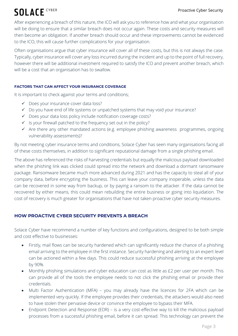After experiencing a breach of this nature, the ICO will ask you to reference how and what your organisation will be doing to ensure that a similar breach does not occur again. These costs and security measures will then become an obligation. If another breach should occur and these improvements cannot be evidenced to the ICO, this will cause further complications for your organisation.

Often organisations argue that cyber insurance will cover all of these costs, but this is not always the case. Typically, cyber insurance will cover any loss incurred during the incident and up to the point of full recovery, however there will be additional investment required to satisfy the ICO and prevent another breach, which will be a cost that an organisation has to swallow.

#### **FACTORS THAT CAN AFFECT YOUR INSURANCE COVERAGE**

It is important to check against your terms and conditions;

- Does your insurance cover data loss?
- $\checkmark$  Do you have end of life systems or unpatched systems that may void your insurance?
- $\checkmark$  Does your data loss policy include notification coverage costs?
- $\checkmark$  is your firewall patched to the frequency set out in the policy?
- $\checkmark$  Are there any other mandated actions (e.g. employee phishing awareness programmes, ongoing vulnerability assessments)?

By not meeting cyber insurance terms and conditions, Solace Cyber has seen many organisations facing all of these costs themselves, in addition to significant reputational damage from a single phishing email.

The above has referenced the risks of harvesting credentials but equally the malicious payload downloaded when the phishing link was clicked could spread into the network and download a dormant ransomware package. Ransomware became much more advanced during 2021 and has the capacity to steal all of your company data, before encrypting the business. This can leave your company inoperable, unless the data can be recovered in some way from backup, or by paying a ransom to the attacker. If the data cannot be recovered by either means, this could mean rebuilding the entire business or going into liquidation. The cost of recovery is much greater for organisations that have not taken proactive cyber security measures.

#### **HOW PROACTIVE CYBER SECURITY PREVENTS A BREACH**

Solace Cyber have recommend a number of key functions and configurations, designed to be both simple and cost effective to businesses:

- Firstly, mail flows can be security hardened which can significantly reduce the chance of a phishing email arriving to the employee in the first instance. Security hardening and alerting to an expert level can be actioned within a few days. This could reduce successful phishing arriving at the employee by 90%.
- Monthly phishing simulations and cyber education can cost as little as £2 per user per month. This can provide all of the tools the employee needs to not click the phishing email or provide their credentials.
- Multi Factor Authentication (MFA) you may already have the licences for 2FA which can be implemented very quickly. If the employee provides their credentials, the attackers would also need to have stolen their pervasive device or convince the employee to bypass their MFA.
- Endpoint Detection and Response (EDR) is a very cost-effective way to kill the malicious payload processes from a successful phishing email, before it can spread. This technology can prevent the